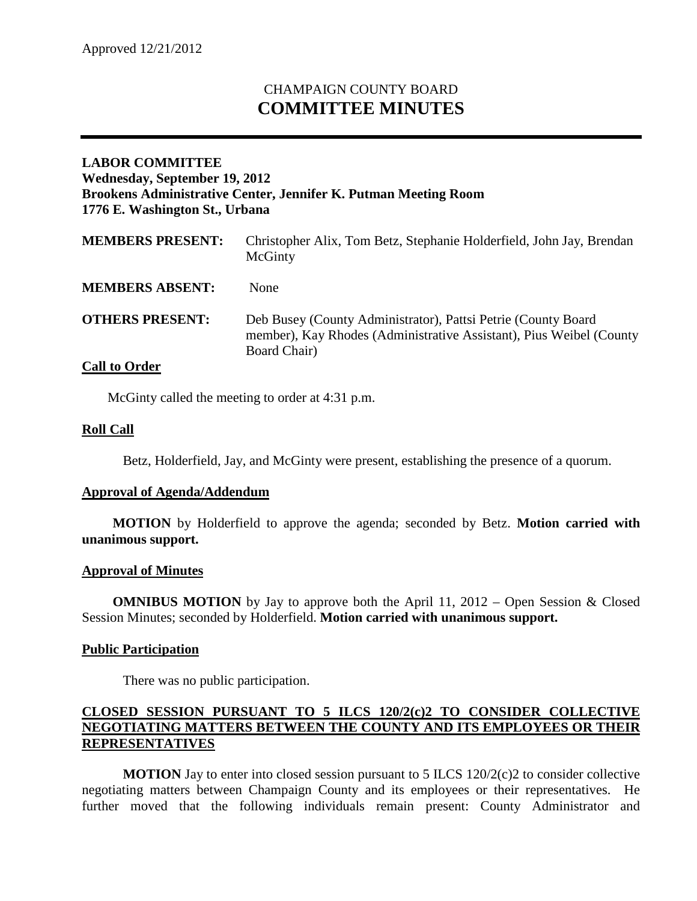# CHAMPAIGN COUNTY BOARD **COMMITTEE MINUTES**

## **LABOR COMMITTEE Wednesday, September 19, 2012 Brookens Administrative Center, Jennifer K. Putman Meeting Room 1776 E. Washington St., Urbana**

| <b>MEMBERS PRESENT:</b> | Christopher Alix, Tom Betz, Stephanie Holderfield, John Jay, Brendan<br>McGinty                                                                      |
|-------------------------|------------------------------------------------------------------------------------------------------------------------------------------------------|
| <b>MEMBERS ABSENT:</b>  | <b>None</b>                                                                                                                                          |
| <b>OTHERS PRESENT:</b>  | Deb Busey (County Administrator), Pattsi Petrie (County Board<br>member), Kay Rhodes (Administrative Assistant), Pius Weibel (County<br>Board Chair) |

## **Call to Order**

McGinty called the meeting to order at 4:31 p.m.

## **Roll Call**

Betz, Holderfield, Jay, and McGinty were present, establishing the presence of a quorum.

#### **Approval of Agenda/Addendum**

**MOTION** by Holderfield to approve the agenda; seconded by Betz. **Motion carried with unanimous support.**

#### **Approval of Minutes**

**OMNIBUS MOTION** by Jay to approve both the April 11, 2012 – Open Session & Closed Session Minutes; seconded by Holderfield. **Motion carried with unanimous support.**

#### **Public Participation**

There was no public participation.

#### **CLOSED SESSION PURSUANT TO 5 ILCS 120/2(c)2 TO CONSIDER COLLECTIVE NEGOTIATING MATTERS BETWEEN THE COUNTY AND ITS EMPLOYEES OR THEIR REPRESENTATIVES**

**MOTION** Jay to enter into closed session pursuant to 5 ILCS  $120/2(c)$  to consider collective negotiating matters between Champaign County and its employees or their representatives. He further moved that the following individuals remain present: County Administrator and